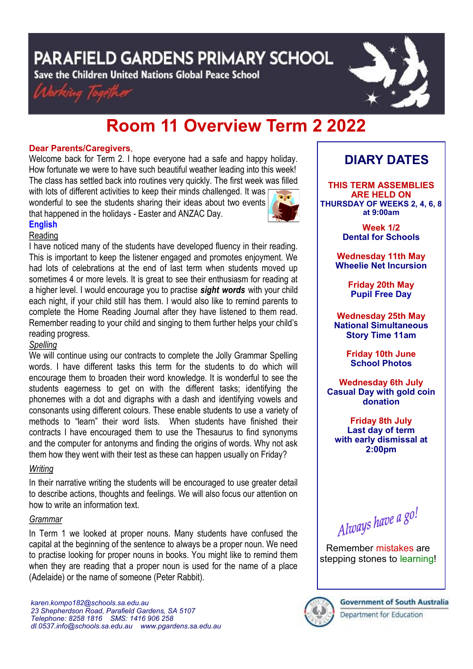**PARAFIELD GARDENS PRIMARY SCHOOL** 

Save the Children United Nations Global Peace School





# **Room 11 Overview Term 2 2022**

### **Dear Parents/Caregivers**,

Welcome back for Term 2. I hope everyone had a safe and happy holiday. How fortunate we were to have such beautiful weather leading into this week! The class has settled back into routines very quickly. The first week was filled with lots of different activities to keep their minds challenged. It was

wonderful to see the students sharing their ideas about two events that happened in the holidays - Easter and ANZAC Day.



#### **English** Reading

I have noticed many of the students have developed fluency in their reading. This is important to keep the listener engaged and promotes enjoyment. We had lots of celebrations at the end of last term when students moved up sometimes 4 or more levels. It is great to see their enthusiasm for reading at a higher level. I would encourage you to practise *sight words* with your child each night, if your child still has them. I would also like to remind parents to complete the Home Reading Journal after they have listened to them read. Remember reading to your child and singing to them further helps your child's reading progress.

# *Spelling*

We will continue using our contracts to complete the Jolly Grammar Spelling words. I have different tasks this term for the students to do which will encourage them to broaden their word knowledge. It is wonderful to see the students eagerness to get on with the different tasks; identifying the phonemes with a dot and digraphs with a dash and identifying vowels and consonants using different colours. These enable students to use a variety of methods to "learn" their word lists. When students have finished their contracts I have encouraged them to use the Thesaurus to find synonyms and the computer for antonyms and finding the origins of words. Why not ask them how they went with their test as these can happen usually on Friday?

# *Writing*

In their narrative writing the students will be encouraged to use greater detail to describe actions, thoughts and feelings. We will also focus our attention on how to write an information text.

# *Grammar*

In Term 1 we looked at proper nouns. Many students have confused the capital at the beginning of the sentence to always be a proper noun. We need to practise looking for proper nouns in books. You might like to remind them when they are reading that a proper noun is used for the name of a place (Adelaide) or the name of someone (Peter Rabbit).

# **DIARY DATES**

**THIS TERM ASSEMBLIES ARE HELD ON THURSDAY OF WEEKS 2, 4, 6, 8 at 9:00am** 

> **Week 1/2 Dental for Schools**

**Wednesday 11th May Wheelie Net Incursion**

> **Friday 20th May Pupil Free Day**

**Wednesday 25th May National Simultaneous Story Time 11am**

> **Friday 10th June School Photos**

**Wednesday 6th July Casual Day with gold coin donation**

**Friday 8th July Last day of term with early dismissal at 2:00pm**

Always have a go!

Remember mistakes are stepping stones to learning!